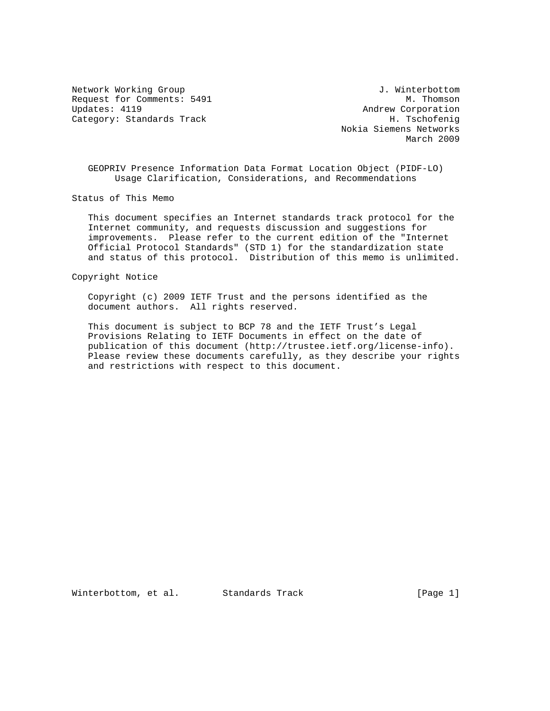Network Working Group and Alexander Month of The United States of The United States of The United States of T Request for Comments: 5491 M. Thomson<br>Updates: 4119 Medical Months and Music Andrew Corporation Category: Standards Track H. Tschofenig

Andrew Corporation Nokia Siemens Networks March 2009

 GEOPRIV Presence Information Data Format Location Object (PIDF-LO) Usage Clarification, Considerations, and Recommendations

Status of This Memo

 This document specifies an Internet standards track protocol for the Internet community, and requests discussion and suggestions for improvements. Please refer to the current edition of the "Internet Official Protocol Standards" (STD 1) for the standardization state and status of this protocol. Distribution of this memo is unlimited.

Copyright Notice

 Copyright (c) 2009 IETF Trust and the persons identified as the document authors. All rights reserved.

 This document is subject to BCP 78 and the IETF Trust's Legal Provisions Relating to IETF Documents in effect on the date of publication of this document (http://trustee.ietf.org/license-info). Please review these documents carefully, as they describe your rights and restrictions with respect to this document.

Winterbottom, et al. Standards Track [Page 1]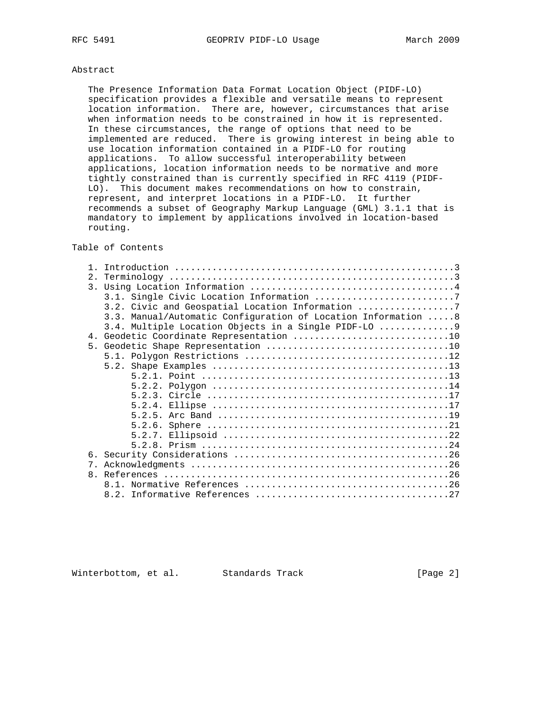# Abstract

 The Presence Information Data Format Location Object (PIDF-LO) specification provides a flexible and versatile means to represent location information. There are, however, circumstances that arise when information needs to be constrained in how it is represented. In these circumstances, the range of options that need to be implemented are reduced. There is growing interest in being able to use location information contained in a PIDF-LO for routing applications. To allow successful interoperability between applications, location information needs to be normative and more tightly constrained than is currently specified in RFC 4119 (PIDF- LO). This document makes recommendations on how to constrain, represent, and interpret locations in a PIDF-LO. It further recommends a subset of Geography Markup Language (GML) 3.1.1 that is mandatory to implement by applications involved in location-based routing.

# Table of Contents

| 3.2. Civic and Geospatial Location Information 7              |
|---------------------------------------------------------------|
| 3.3. Manual/Automatic Configuration of Location Information 8 |
| 3.4. Multiple Location Objects in a Single PIDF-LO            |
|                                                               |
|                                                               |
|                                                               |
|                                                               |
|                                                               |
|                                                               |
|                                                               |
|                                                               |
| 525                                                           |
|                                                               |
|                                                               |
|                                                               |
|                                                               |
| 7.                                                            |
|                                                               |
|                                                               |
|                                                               |
|                                                               |

Winterbottom, et al. Standards Track [Page 2]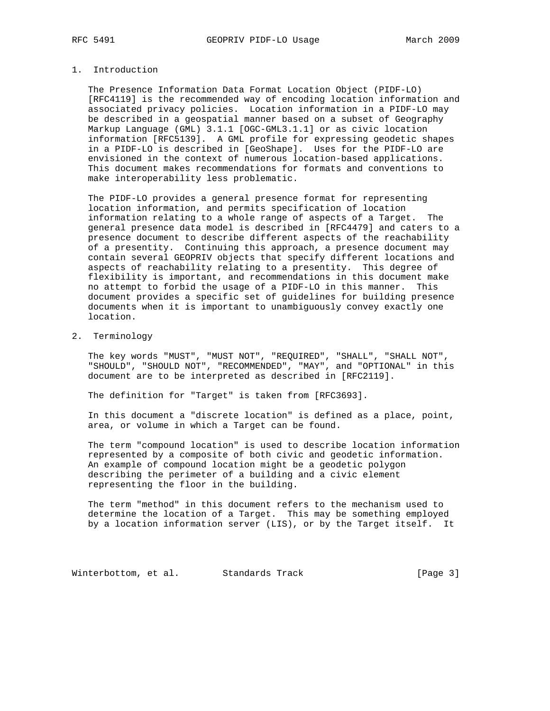### 1. Introduction

 The Presence Information Data Format Location Object (PIDF-LO) [RFC4119] is the recommended way of encoding location information and associated privacy policies. Location information in a PIDF-LO may be described in a geospatial manner based on a subset of Geography Markup Language (GML) 3.1.1 [OGC-GML3.1.1] or as civic location information [RFC5139]. A GML profile for expressing geodetic shapes in a PIDF-LO is described in [GeoShape]. Uses for the PIDF-LO are envisioned in the context of numerous location-based applications. This document makes recommendations for formats and conventions to make interoperability less problematic.

 The PIDF-LO provides a general presence format for representing location information, and permits specification of location information relating to a whole range of aspects of a Target. The general presence data model is described in [RFC4479] and caters to a presence document to describe different aspects of the reachability of a presentity. Continuing this approach, a presence document may contain several GEOPRIV objects that specify different locations and aspects of reachability relating to a presentity. This degree of flexibility is important, and recommendations in this document make no attempt to forbid the usage of a PIDF-LO in this manner. This document provides a specific set of guidelines for building presence documents when it is important to unambiguously convey exactly one location.

# 2. Terminology

 The key words "MUST", "MUST NOT", "REQUIRED", "SHALL", "SHALL NOT", "SHOULD", "SHOULD NOT", "RECOMMENDED", "MAY", and "OPTIONAL" in this document are to be interpreted as described in [RFC2119].

The definition for "Target" is taken from [RFC3693].

 In this document a "discrete location" is defined as a place, point, area, or volume in which a Target can be found.

 The term "compound location" is used to describe location information represented by a composite of both civic and geodetic information. An example of compound location might be a geodetic polygon describing the perimeter of a building and a civic element representing the floor in the building.

 The term "method" in this document refers to the mechanism used to determine the location of a Target. This may be something employed by a location information server (LIS), or by the Target itself. It

Winterbottom, et al. Standards Track [Page 3]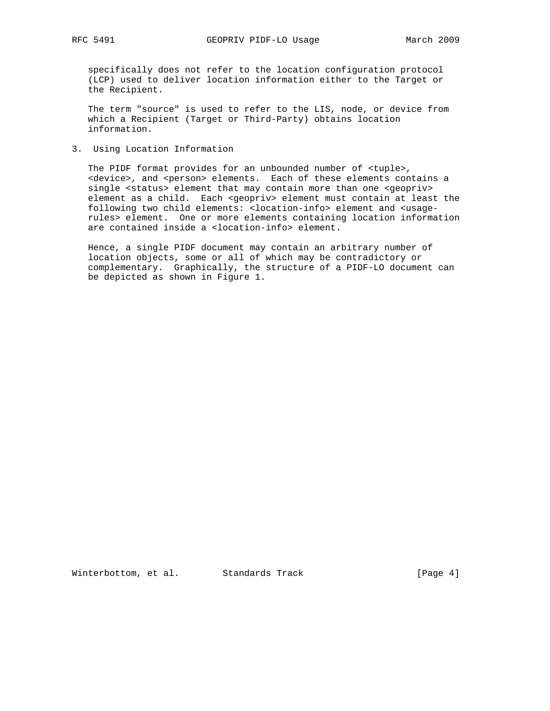specifically does not refer to the location configuration protocol (LCP) used to deliver location information either to the Target or the Recipient.

 The term "source" is used to refer to the LIS, node, or device from which a Recipient (Target or Third-Party) obtains location information.

3. Using Location Information

 The PIDF format provides for an unbounded number of <tuple>, <device>, and <person> elements. Each of these elements contains a single <status> element that may contain more than one <geopriv> element as a child. Each <geopriv> element must contain at least the following two child elements: <location-info> element and <usage rules> element. One or more elements containing location information are contained inside a <location-info> element.

 Hence, a single PIDF document may contain an arbitrary number of location objects, some or all of which may be contradictory or complementary. Graphically, the structure of a PIDF-LO document can be depicted as shown in Figure 1.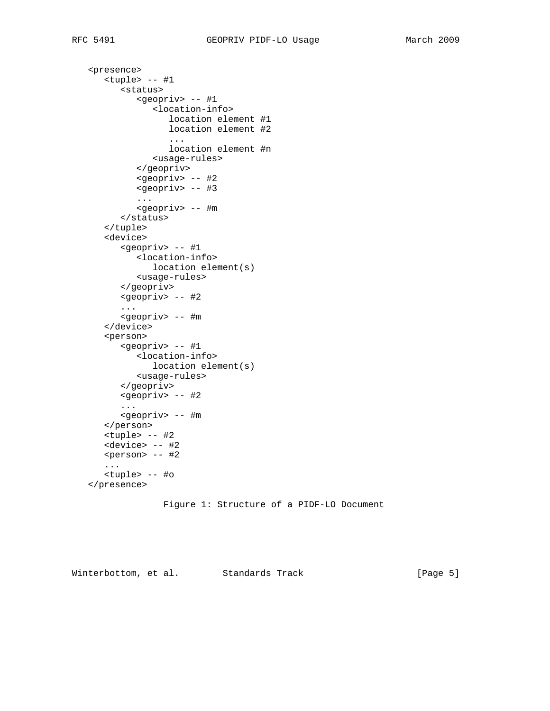```
 <presence>
       <tuple> -- #1
          <status>
             <geopriv> -- #1
                <location-info>
                   location element #1
                   location element #2
                    ...
                   location element #n
                <usage-rules>
             </geopriv>
             <geopriv> -- #2
             <geopriv> -- #3
             ...
             <geopriv> -- #m
          </status>
       </tuple>
       <device>
          <geopriv> -- #1
             <location-info>
                location element(s)
             <usage-rules>
          </geopriv>
          <geopriv> -- #2
          ...
          <geopriv> -- #m
       </device>
       <person>
          <geopriv> -- #1
             <location-info>
                location element(s)
             <usage-rules>
          </geopriv>
          <geopriv> -- #2
          ...
          <geopriv> -- #m
       </person>
 <tuple> -- #2
 <device> -- #2
       <person> -- #2
       ...
       <tuple> -- #o
    </presence>
```
Figure 1: Structure of a PIDF-LO Document

Winterbottom, et al. Standards Track [Page 5]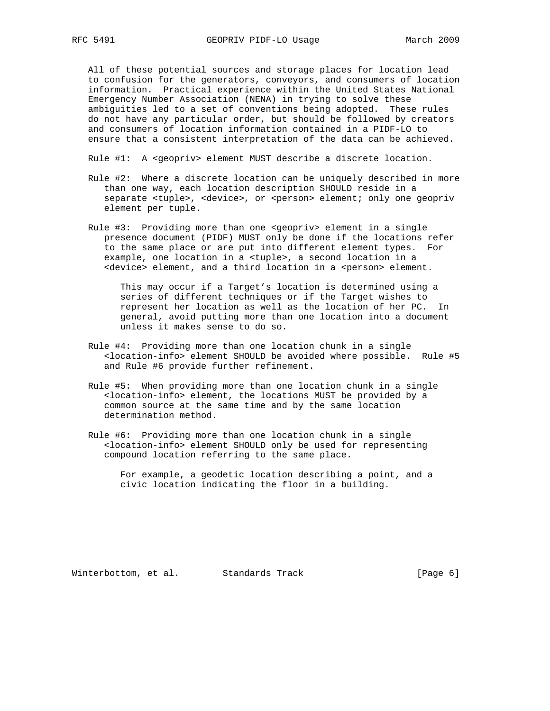All of these potential sources and storage places for location lead to confusion for the generators, conveyors, and consumers of location information. Practical experience within the United States National Emergency Number Association (NENA) in trying to solve these ambiguities led to a set of conventions being adopted. These rules do not have any particular order, but should be followed by creators and consumers of location information contained in a PIDF-LO to ensure that a consistent interpretation of the data can be achieved.

Rule #1: A <geopriv> element MUST describe a discrete location.

- Rule #2: Where a discrete location can be uniquely described in more than one way, each location description SHOULD reside in a separate <tuple>, <device>, or <person> element; only one geopriv element per tuple.
- Rule #3: Providing more than one <geopriv> element in a single presence document (PIDF) MUST only be done if the locations refer to the same place or are put into different element types. For example, one location in a <tuple>, a second location in a <device> element, and a third location in a <person> element.

 This may occur if a Target's location is determined using a series of different techniques or if the Target wishes to represent her location as well as the location of her PC. In general, avoid putting more than one location into a document unless it makes sense to do so.

- Rule #4: Providing more than one location chunk in a single <location-info> element SHOULD be avoided where possible. Rule #5 and Rule #6 provide further refinement.
- Rule #5: When providing more than one location chunk in a single <location-info> element, the locations MUST be provided by a common source at the same time and by the same location determination method.
- Rule #6: Providing more than one location chunk in a single <location-info> element SHOULD only be used for representing compound location referring to the same place.

 For example, a geodetic location describing a point, and a civic location indicating the floor in a building.

Winterbottom, et al. Standards Track [Page 6]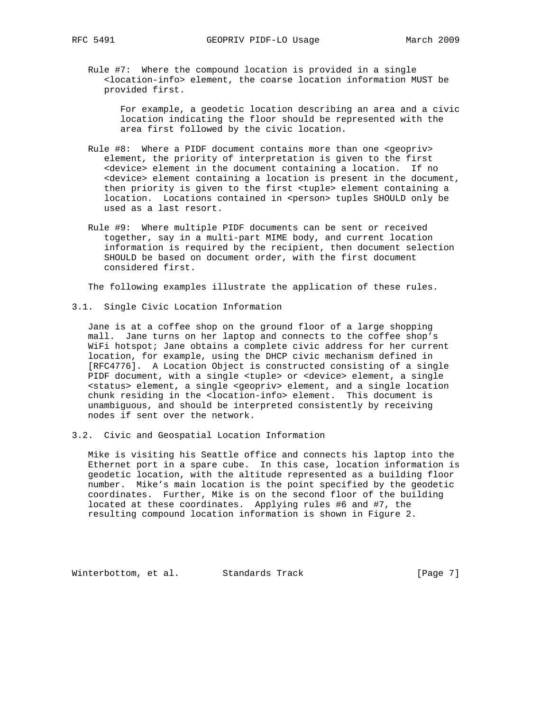Rule #7: Where the compound location is provided in a single <location-info> element, the coarse location information MUST be provided first.

 For example, a geodetic location describing an area and a civic location indicating the floor should be represented with the area first followed by the civic location.

- Rule #8: Where a PIDF document contains more than one <geopriv> element, the priority of interpretation is given to the first <device> element in the document containing a location. If no <device> element containing a location is present in the document, then priority is given to the first <tuple> element containing a location. Locations contained in <person> tuples SHOULD only be used as a last resort.
- Rule #9: Where multiple PIDF documents can be sent or received together, say in a multi-part MIME body, and current location information is required by the recipient, then document selection SHOULD be based on document order, with the first document considered first.

The following examples illustrate the application of these rules.

3.1. Single Civic Location Information

 Jane is at a coffee shop on the ground floor of a large shopping mall. Jane turns on her laptop and connects to the coffee shop's WiFi hotspot; Jane obtains a complete civic address for her current location, for example, using the DHCP civic mechanism defined in [RFC4776]. A Location Object is constructed consisting of a single PIDF document, with a single <tuple> or <device> element, a single <status> element, a single <geopriv> element, and a single location chunk residing in the <location-info> element. This document is unambiguous, and should be interpreted consistently by receiving nodes if sent over the network.

3.2. Civic and Geospatial Location Information

 Mike is visiting his Seattle office and connects his laptop into the Ethernet port in a spare cube. In this case, location information is geodetic location, with the altitude represented as a building floor number. Mike's main location is the point specified by the geodetic coordinates. Further, Mike is on the second floor of the building located at these coordinates. Applying rules #6 and #7, the resulting compound location information is shown in Figure 2.

Winterbottom, et al. Standards Track [Page 7]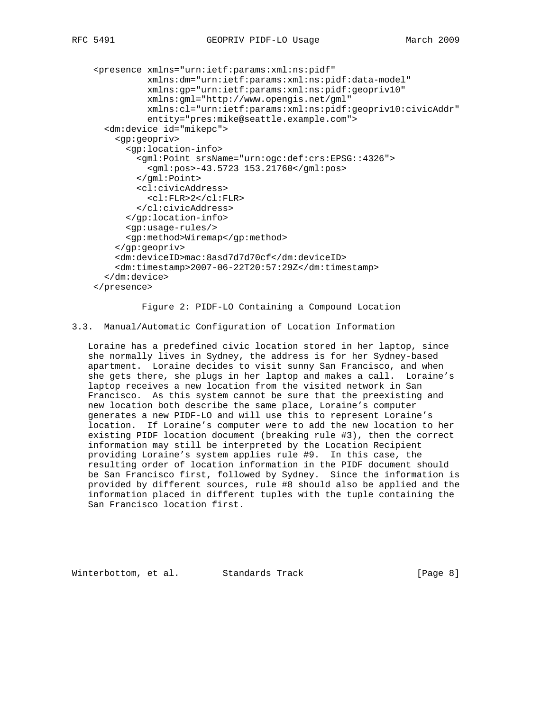```
 <presence xmlns="urn:ietf:params:xml:ns:pidf"
           xmlns:dm="urn:ietf:params:xml:ns:pidf:data-model"
           xmlns:gp="urn:ietf:params:xml:ns:pidf:geopriv10"
           xmlns:gml="http://www.opengis.net/gml"
           xmlns:cl="urn:ietf:params:xml:ns:pidf:geopriv10:civicAddr"
           entity="pres:mike@seattle.example.com">
   <dm:device id="mikepc">
     <gp:geopriv>
       <gp:location-info>
         <gml:Point srsName="urn:ogc:def:crs:EPSG::4326">
           <gml:pos>-43.5723 153.21760</gml:pos>
         </gml:Point>
         <cl:civicAddress>
           <cl:FLR>2</cl:FLR>
         </cl:civicAddress>
       </gp:location-info>
       <gp:usage-rules/>
       <gp:method>Wiremap</gp:method>
     </gp:geopriv>
     <dm:deviceID>mac:8asd7d7d70cf</dm:deviceID>
     <dm:timestamp>2007-06-22T20:57:29Z</dm:timestamp>
   </dm:device>
 </presence>
```
Figure 2: PIDF-LO Containing a Compound Location

### 3.3. Manual/Automatic Configuration of Location Information

 Loraine has a predefined civic location stored in her laptop, since she normally lives in Sydney, the address is for her Sydney-based apartment. Loraine decides to visit sunny San Francisco, and when she gets there, she plugs in her laptop and makes a call. Loraine's laptop receives a new location from the visited network in San Francisco. As this system cannot be sure that the preexisting and new location both describe the same place, Loraine's computer generates a new PIDF-LO and will use this to represent Loraine's location. If Loraine's computer were to add the new location to her existing PIDF location document (breaking rule #3), then the correct information may still be interpreted by the Location Recipient providing Loraine's system applies rule #9. In this case, the resulting order of location information in the PIDF document should be San Francisco first, followed by Sydney. Since the information is provided by different sources, rule #8 should also be applied and the information placed in different tuples with the tuple containing the San Francisco location first.

Winterbottom, et al. Standards Track [Page 8]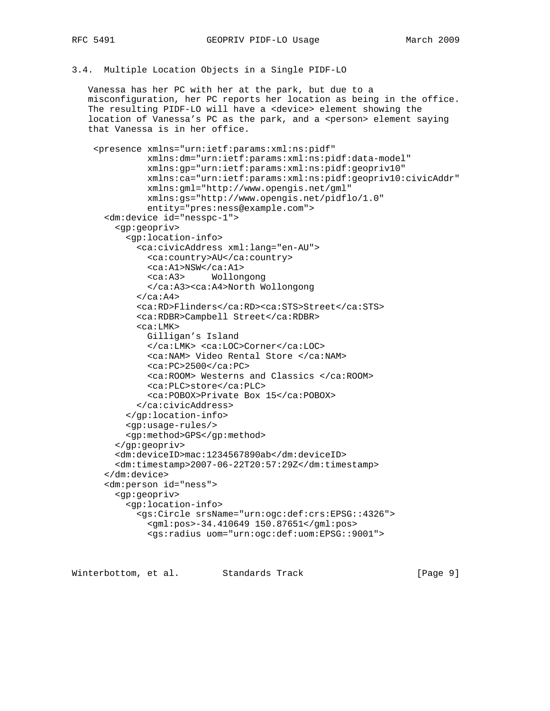#### 3.4. Multiple Location Objects in a Single PIDF-LO

 Vanessa has her PC with her at the park, but due to a misconfiguration, her PC reports her location as being in the office. The resulting PIDF-LO will have a <device> element showing the location of Vanessa's PC as the park, and a <person> element saying that Vanessa is in her office.

 <presence xmlns="urn:ietf:params:xml:ns:pidf" xmlns:dm="urn:ietf:params:xml:ns:pidf:data-model" xmlns:gp="urn:ietf:params:xml:ns:pidf:geopriv10" xmlns:ca="urn:ietf:params:xml:ns:pidf:geopriv10:civicAddr" xmlns:gml="http://www.opengis.net/gml" xmlns:gs="http://www.opengis.net/pidflo/1.0" entity="pres:ness@example.com"> <dm:device id="nesspc-1"> <gp:geopriv> <gp:location-info> <ca:civicAddress xml:lang="en-AU"> <ca:country>AU</ca:country> <ca:A1>NSW</ca:A1> <ca:A3> Wollongong </ca:A3><ca:A4>North Wollongong  $\langle$  ca: A4 $>$  <ca:RD>Flinders</ca:RD><ca:STS>Street</ca:STS> <ca:RDBR>Campbell Street</ca:RDBR> <ca:LMK> Gilligan's Island </ca:LMK> <ca:LOC>Corner</ca:LOC> <ca:NAM> Video Rental Store </ca:NAM> <ca:PC>2500</ca:PC> <ca:ROOM> Westerns and Classics </ca:ROOM> <ca:PLC>store</ca:PLC> <ca:POBOX>Private Box 15</ca:POBOX> </ca:civicAddress> </gp:location-info> <gp:usage-rules/> <gp:method>GPS</gp:method> </gp:geopriv> <dm:deviceID>mac:1234567890ab</dm:deviceID> <dm:timestamp>2007-06-22T20:57:29Z</dm:timestamp> </dm:device> <dm:person id="ness"> <gp:geopriv> <gp:location-info> <gs:Circle srsName="urn:ogc:def:crs:EPSG::4326"> <gml:pos>-34.410649 150.87651</gml:pos> <gs:radius uom="urn:ogc:def:uom:EPSG::9001">

Winterbottom, et al. Standards Track [Page 9]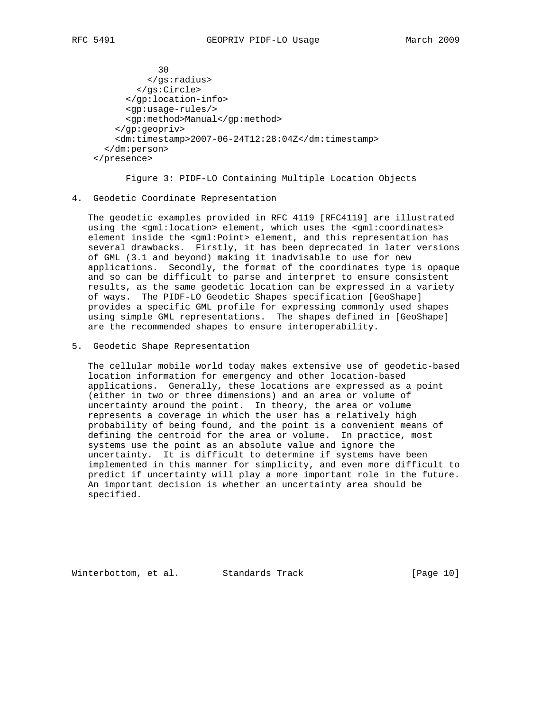```
 30
           </gs:radius>
         </gs:Circle>
       </gp:location-info>
       <gp:usage-rules/>
       <gp:method>Manual</gp:method>
     </gp:geopriv>
     <dm:timestamp>2007-06-24T12:28:04Z</dm:timestamp>
   </dm:person>
 </presence>
```
Figure 3: PIDF-LO Containing Multiple Location Objects

4. Geodetic Coordinate Representation

 The geodetic examples provided in RFC 4119 [RFC4119] are illustrated using the <gml:location> element, which uses the <gml:coordinates> element inside the <gml:Point> element, and this representation has several drawbacks. Firstly, it has been deprecated in later versions of GML (3.1 and beyond) making it inadvisable to use for new applications. Secondly, the format of the coordinates type is opaque and so can be difficult to parse and interpret to ensure consistent results, as the same geodetic location can be expressed in a variety of ways. The PIDF-LO Geodetic Shapes specification [GeoShape] provides a specific GML profile for expressing commonly used shapes using simple GML representations. The shapes defined in [GeoShape] are the recommended shapes to ensure interoperability.

5. Geodetic Shape Representation

 The cellular mobile world today makes extensive use of geodetic-based location information for emergency and other location-based applications. Generally, these locations are expressed as a point (either in two or three dimensions) and an area or volume of uncertainty around the point. In theory, the area or volume represents a coverage in which the user has a relatively high probability of being found, and the point is a convenient means of defining the centroid for the area or volume. In practice, most systems use the point as an absolute value and ignore the uncertainty. It is difficult to determine if systems have been implemented in this manner for simplicity, and even more difficult to predict if uncertainty will play a more important role in the future. An important decision is whether an uncertainty area should be specified.

Winterbottom, et al. Standards Track [Page 10]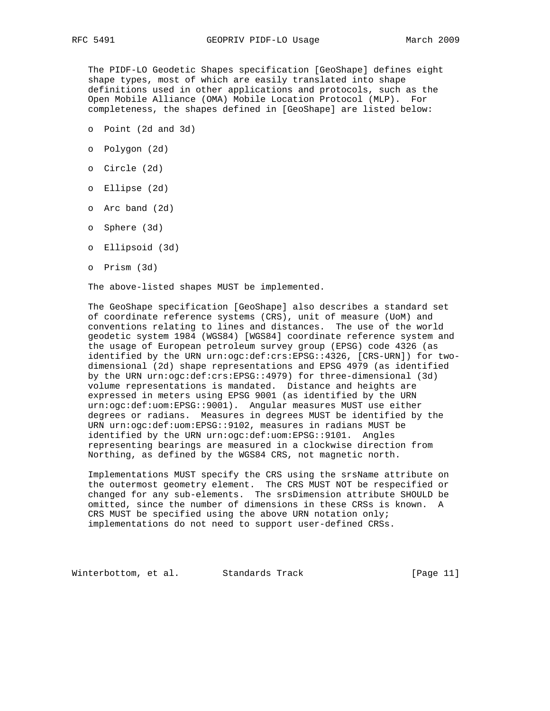The PIDF-LO Geodetic Shapes specification [GeoShape] defines eight shape types, most of which are easily translated into shape definitions used in other applications and protocols, such as the Open Mobile Alliance (OMA) Mobile Location Protocol (MLP). For completeness, the shapes defined in [GeoShape] are listed below:

- o Point (2d and 3d)
- o Polygon (2d)
- o Circle (2d)
- o Ellipse (2d)
- o Arc band (2d)
- o Sphere (3d)
- o Ellipsoid (3d)
- o Prism (3d)

The above-listed shapes MUST be implemented.

 The GeoShape specification [GeoShape] also describes a standard set of coordinate reference systems (CRS), unit of measure (UoM) and conventions relating to lines and distances. The use of the world geodetic system 1984 (WGS84) [WGS84] coordinate reference system and the usage of European petroleum survey group (EPSG) code 4326 (as identified by the URN urn:ogc:def:crs:EPSG::4326, [CRS-URN]) for two dimensional (2d) shape representations and EPSG 4979 (as identified by the URN urn:ogc:def:crs:EPSG::4979) for three-dimensional (3d) volume representations is mandated. Distance and heights are expressed in meters using EPSG 9001 (as identified by the URN urn:ogc:def:uom:EPSG::9001). Angular measures MUST use either degrees or radians. Measures in degrees MUST be identified by the URN urn:ogc:def:uom:EPSG::9102, measures in radians MUST be identified by the URN urn:ogc:def:uom:EPSG::9101. Angles representing bearings are measured in a clockwise direction from Northing, as defined by the WGS84 CRS, not magnetic north.

 Implementations MUST specify the CRS using the srsName attribute on the outermost geometry element. The CRS MUST NOT be respecified or changed for any sub-elements. The srsDimension attribute SHOULD be omitted, since the number of dimensions in these CRSs is known. A CRS MUST be specified using the above URN notation only; implementations do not need to support user-defined CRSs.

Winterbottom, et al. Standards Track (Page 11)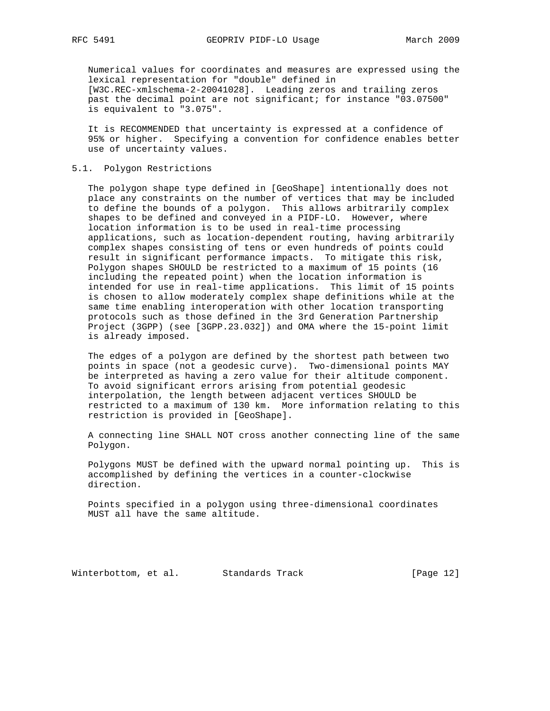Numerical values for coordinates and measures are expressed using the lexical representation for "double" defined in [W3C.REC-xmlschema-2-20041028]. Leading zeros and trailing zeros past the decimal point are not significant; for instance "03.07500" is equivalent to "3.075".

 It is RECOMMENDED that uncertainty is expressed at a confidence of 95% or higher. Specifying a convention for confidence enables better use of uncertainty values.

#### 5.1. Polygon Restrictions

 The polygon shape type defined in [GeoShape] intentionally does not place any constraints on the number of vertices that may be included to define the bounds of a polygon. This allows arbitrarily complex shapes to be defined and conveyed in a PIDF-LO. However, where location information is to be used in real-time processing applications, such as location-dependent routing, having arbitrarily complex shapes consisting of tens or even hundreds of points could result in significant performance impacts. To mitigate this risk, Polygon shapes SHOULD be restricted to a maximum of 15 points (16 including the repeated point) when the location information is intended for use in real-time applications. This limit of 15 points is chosen to allow moderately complex shape definitions while at the same time enabling interoperation with other location transporting protocols such as those defined in the 3rd Generation Partnership Project (3GPP) (see [3GPP.23.032]) and OMA where the 15-point limit is already imposed.

 The edges of a polygon are defined by the shortest path between two points in space (not a geodesic curve). Two-dimensional points MAY be interpreted as having a zero value for their altitude component. To avoid significant errors arising from potential geodesic interpolation, the length between adjacent vertices SHOULD be restricted to a maximum of 130 km. More information relating to this restriction is provided in [GeoShape].

 A connecting line SHALL NOT cross another connecting line of the same Polygon.

 Polygons MUST be defined with the upward normal pointing up. This is accomplished by defining the vertices in a counter-clockwise direction.

 Points specified in a polygon using three-dimensional coordinates MUST all have the same altitude.

Winterbottom, et al. Standards Track (Page 12)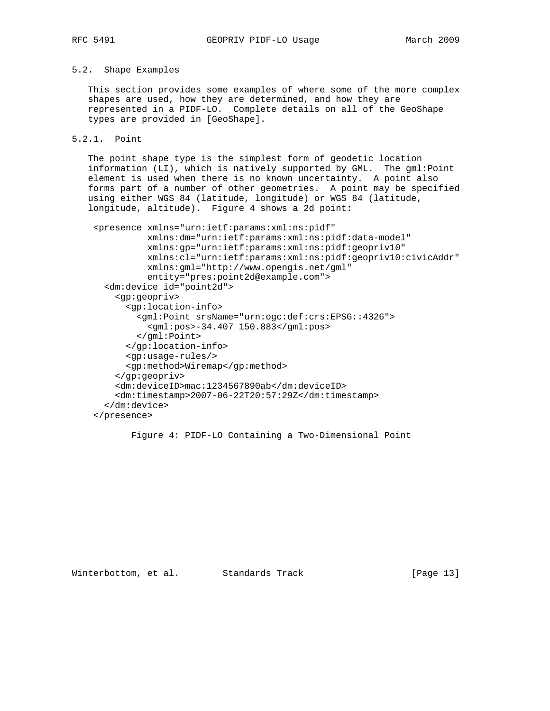#### 5.2. Shape Examples

 This section provides some examples of where some of the more complex shapes are used, how they are determined, and how they are represented in a PIDF-LO. Complete details on all of the GeoShape types are provided in [GeoShape].

```
5.2.1. Point
```
 The point shape type is the simplest form of geodetic location information (LI), which is natively supported by GML. The gml:Point element is used when there is no known uncertainty. A point also forms part of a number of other geometries. A point may be specified using either WGS 84 (latitude, longitude) or WGS 84 (latitude, longitude, altitude). Figure 4 shows a 2d point:

```
 <presence xmlns="urn:ietf:params:xml:ns:pidf"
           xmlns:dm="urn:ietf:params:xml:ns:pidf:data-model"
           xmlns:gp="urn:ietf:params:xml:ns:pidf:geopriv10"
           xmlns:cl="urn:ietf:params:xml:ns:pidf:geopriv10:civicAddr"
           xmlns:gml="http://www.opengis.net/gml"
           entity="pres:point2d@example.com">
   <dm:device id="point2d">
     <gp:geopriv>
       <gp:location-info>
         <gml:Point srsName="urn:ogc:def:crs:EPSG::4326">
           <gml:pos>-34.407 150.883</gml:pos>
         </gml:Point>
       </gp:location-info>
       <gp:usage-rules/>
       <gp:method>Wiremap</gp:method>
     </gp:geopriv>
     <dm:deviceID>mac:1234567890ab</dm:deviceID>
     <dm:timestamp>2007-06-22T20:57:29Z</dm:timestamp>
   </dm:device>
 </presence>
```
Figure 4: PIDF-LO Containing a Two-Dimensional Point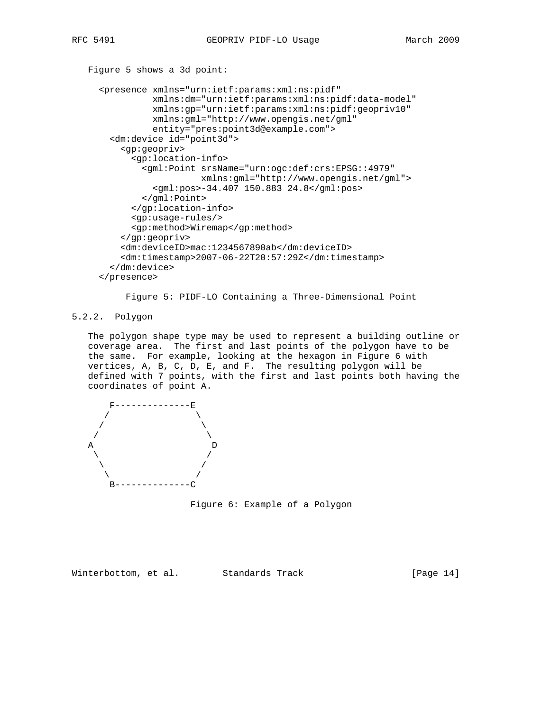```
 Figure 5 shows a 3d point:
   <presence xmlns="urn:ietf:params:xml:ns:pidf"
             xmlns:dm="urn:ietf:params:xml:ns:pidf:data-model"
             xmlns:gp="urn:ietf:params:xml:ns:pidf:geopriv10"
             xmlns:gml="http://www.opengis.net/gml"
             entity="pres:point3d@example.com">
     <dm:device id="point3d">
       <gp:geopriv>
         <gp:location-info>
           <gml:Point srsName="urn:ogc:def:crs:EPSG::4979"
                      xmlns:gml="http://www.opengis.net/gml">
             <gml:pos>-34.407 150.883 24.8</gml:pos>
           </gml:Point>
         </gp:location-info>
         <gp:usage-rules/>
         <gp:method>Wiremap</gp:method>
       </gp:geopriv>
       <dm:deviceID>mac:1234567890ab</dm:deviceID>
       <dm:timestamp>2007-06-22T20:57:29Z</dm:timestamp>
     </dm:device>
   </presence>
```
Figure 5: PIDF-LO Containing a Three-Dimensional Point

# 5.2.2. Polygon

 The polygon shape type may be used to represent a building outline or coverage area. The first and last points of the polygon have to be the same. For example, looking at the hexagon in Figure 6 with vertices, A, B, C, D, E, and F. The resulting polygon will be defined with 7 points, with the first and last points both having the coordinates of point A.



Figure 6: Example of a Polygon

Winterbottom, et al. Standards Track [Page 14]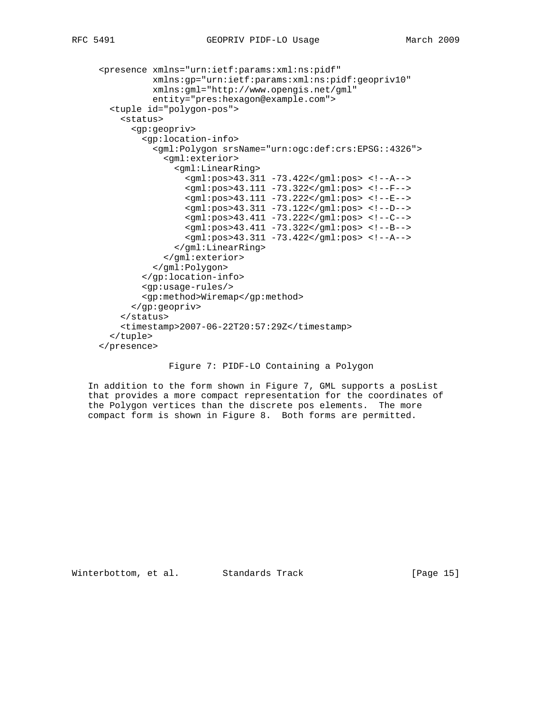```
 <presence xmlns="urn:ietf:params:xml:ns:pidf"
           xmlns:gp="urn:ietf:params:xml:ns:pidf:geopriv10"
           xmlns:gml="http://www.opengis.net/gml"
           entity="pres:hexagon@example.com">
  <tuple id="polygon-pos">
     <status>
       <gp:geopriv>
         <gp:location-info>
           <gml:Polygon srsName="urn:ogc:def:crs:EPSG::4326">
             <gml:exterior>
               <gml:LinearRing>
                 <gml:pos>43.311 -73.422</gml:pos> <!--A-->
                 <gml:pos>43.111 -73.322</gml:pos> <!--F-->
                 <gml:pos>43.111 -73.222</gml:pos> <!--E-->
                 <gml:pos>43.311 -73.122</gml:pos> <!--D-->
                 <gml:pos>43.411 -73.222</gml:pos> <!--C-->
                 <gml:pos>43.411 -73.322</gml:pos> <!--B-->
                 <gml:pos>43.311 -73.422</gml:pos> <!--A-->
               </gml:LinearRing>
             </gml:exterior>
           </gml:Polygon>
         </gp:location-info>
         <gp:usage-rules/>
         <gp:method>Wiremap</gp:method>
       </gp:geopriv>
     </status>
     <timestamp>2007-06-22T20:57:29Z</timestamp>
   </tuple>
 </presence>
```
#### Figure 7: PIDF-LO Containing a Polygon

 In addition to the form shown in Figure 7, GML supports a posList that provides a more compact representation for the coordinates of the Polygon vertices than the discrete pos elements. The more compact form is shown in Figure 8. Both forms are permitted.

Winterbottom, et al. Standards Track [Page 15]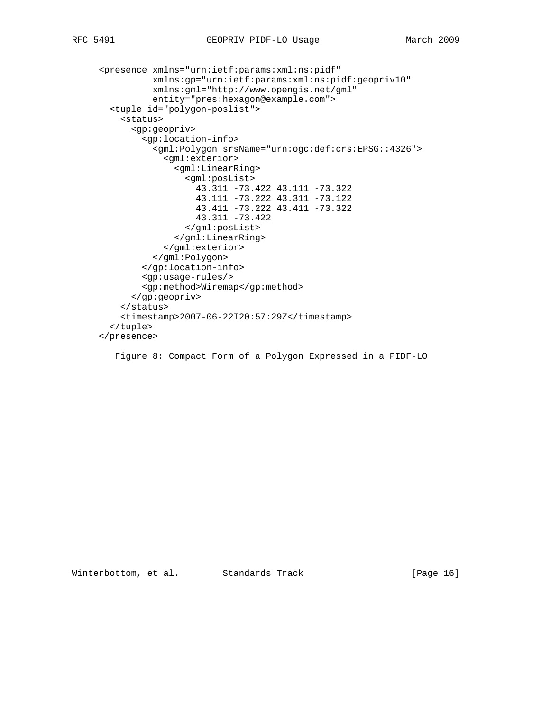```
 <presence xmlns="urn:ietf:params:xml:ns:pidf"
           xmlns:gp="urn:ietf:params:xml:ns:pidf:geopriv10"
           xmlns:gml="http://www.opengis.net/gml"
           entity="pres:hexagon@example.com">
   <tuple id="polygon-poslist">
     <status>
       <gp:geopriv>
         <gp:location-info>
           <gml:Polygon srsName="urn:ogc:def:crs:EPSG::4326">
             <gml:exterior>
               <gml:LinearRing>
                 <gml:posList>
                    43.311 -73.422 43.111 -73.322
                    43.111 -73.222 43.311 -73.122
                    43.411 -73.222 43.411 -73.322
                   43.311 -73.422
                 </gml:posList>
               </gml:LinearRing>
             </gml:exterior>
           </gml:Polygon>
         </gp:location-info>
         <gp:usage-rules/>
         <gp:method>Wiremap</gp:method>
       </gp:geopriv>
     </status>
     <timestamp>2007-06-22T20:57:29Z</timestamp>
   </tuple>
 </presence>
```
Figure 8: Compact Form of a Polygon Expressed in a PIDF-LO

Winterbottom, et al. Standards Track [Page 16]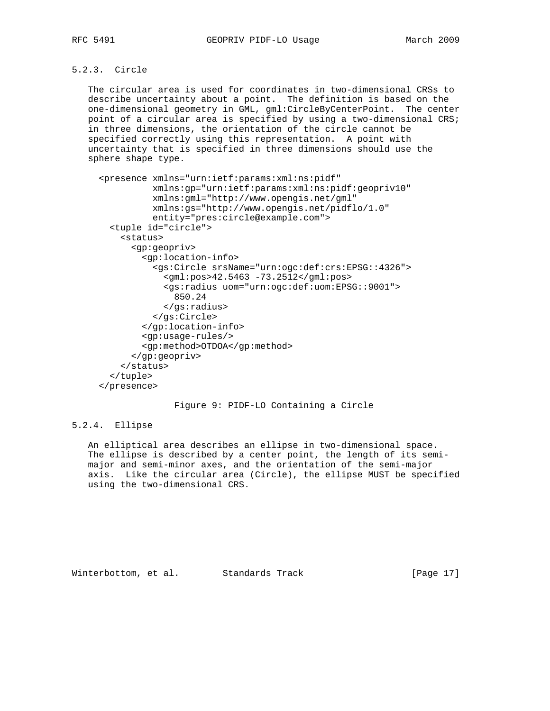# 5.2.3. Circle

 The circular area is used for coordinates in two-dimensional CRSs to describe uncertainty about a point. The definition is based on the one-dimensional geometry in GML, gml:CircleByCenterPoint. The center point of a circular area is specified by using a two-dimensional CRS; in three dimensions, the orientation of the circle cannot be specified correctly using this representation. A point with uncertainty that is specified in three dimensions should use the sphere shape type.

```
 <presence xmlns="urn:ietf:params:xml:ns:pidf"
           xmlns:gp="urn:ietf:params:xml:ns:pidf:geopriv10"
           xmlns:gml="http://www.opengis.net/gml"
           xmlns:gs="http://www.opengis.net/pidflo/1.0"
           entity="pres:circle@example.com">
   <tuple id="circle">
     <status>
       <gp:geopriv>
         <gp:location-info>
           <gs:Circle srsName="urn:ogc:def:crs:EPSG::4326">
             <gml:pos>42.5463 -73.2512</gml:pos>
             <gs:radius uom="urn:ogc:def:uom:EPSG::9001">
               850.24
             </gs:radius>
           </gs:Circle>
         </gp:location-info>
         <gp:usage-rules/>
         <gp:method>OTDOA</gp:method>
       </gp:geopriv>
     </status>
   </tuple>
 </presence>
```
#### Figure 9: PIDF-LO Containing a Circle

### 5.2.4. Ellipse

 An elliptical area describes an ellipse in two-dimensional space. The ellipse is described by a center point, the length of its semi major and semi-minor axes, and the orientation of the semi-major axis. Like the circular area (Circle), the ellipse MUST be specified using the two-dimensional CRS.

Winterbottom, et al. Standards Track [Page 17]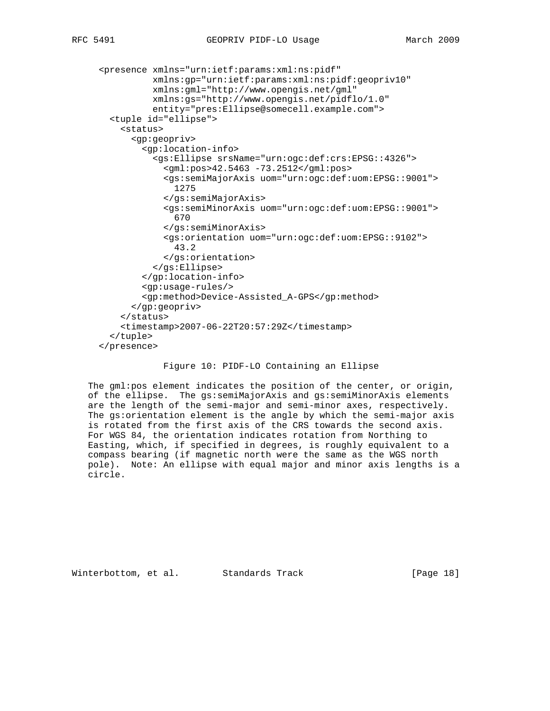```
 <presence xmlns="urn:ietf:params:xml:ns:pidf"
           xmlns:gp="urn:ietf:params:xml:ns:pidf:geopriv10"
           xmlns:gml="http://www.opengis.net/gml"
           xmlns:gs="http://www.opengis.net/pidflo/1.0"
           entity="pres:Ellipse@somecell.example.com">
  <tuple id="ellipse">
     <status>
       <gp:geopriv>
         <gp:location-info>
           <gs:Ellipse srsName="urn:ogc:def:crs:EPSG::4326">
             <gml:pos>42.5463 -73.2512</gml:pos>
             <gs:semiMajorAxis uom="urn:ogc:def:uom:EPSG::9001">
               1275
             </gs:semiMajorAxis>
             <gs:semiMinorAxis uom="urn:ogc:def:uom:EPSG::9001">
               670
             </gs:semiMinorAxis>
             <gs:orientation uom="urn:ogc:def:uom:EPSG::9102">
               43.2
             </gs:orientation>
           </gs:Ellipse>
         </gp:location-info>
         <gp:usage-rules/>
         <gp:method>Device-Assisted_A-GPS</gp:method>
       </gp:geopriv>
     </status>
     <timestamp>2007-06-22T20:57:29Z</timestamp>
   </tuple>
 </presence>
```
#### Figure 10: PIDF-LO Containing an Ellipse

 The gml:pos element indicates the position of the center, or origin, of the ellipse. The gs:semiMajorAxis and gs:semiMinorAxis elements are the length of the semi-major and semi-minor axes, respectively. The gs:orientation element is the angle by which the semi-major axis is rotated from the first axis of the CRS towards the second axis. For WGS 84, the orientation indicates rotation from Northing to Easting, which, if specified in degrees, is roughly equivalent to a compass bearing (if magnetic north were the same as the WGS north pole). Note: An ellipse with equal major and minor axis lengths is a circle.

Winterbottom, et al. Standards Track [Page 18]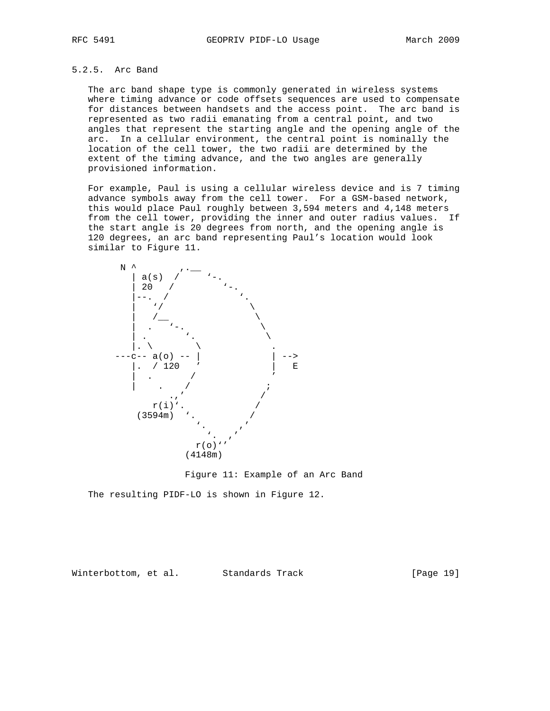### 5.2.5. Arc Band

 The arc band shape type is commonly generated in wireless systems where timing advance or code offsets sequences are used to compensate for distances between handsets and the access point. The arc band is represented as two radii emanating from a central point, and two angles that represent the starting angle and the opening angle of the arc. In a cellular environment, the central point is nominally the location of the cell tower, the two radii are determined by the extent of the timing advance, and the two angles are generally provisioned information.

 For example, Paul is using a cellular wireless device and is 7 timing advance symbols away from the cell tower. For a GSM-based network, this would place Paul roughly between 3,594 meters and 4,148 meters from the cell tower, providing the inner and outer radius values. If the start angle is 20 degrees from north, and the opening angle is 120 degrees, an arc band representing Paul's location would look similar to Figure 11.





The resulting PIDF-LO is shown in Figure 12.

Winterbottom, et al. Standards Track [Page 19]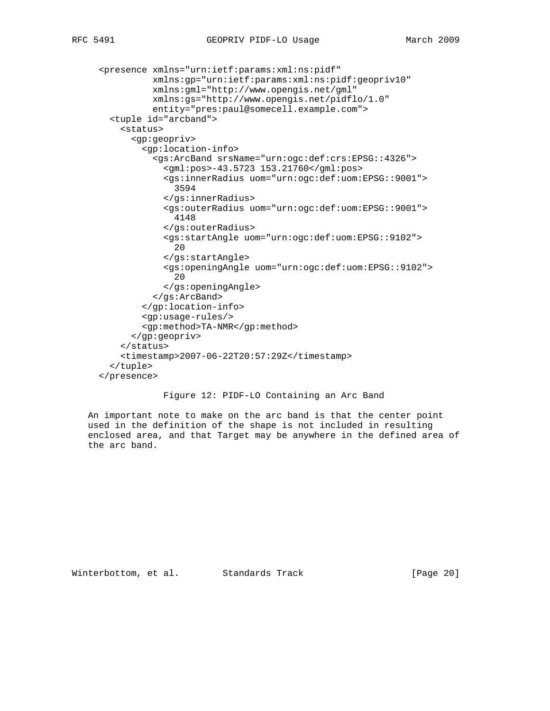```
 <presence xmlns="urn:ietf:params:xml:ns:pidf"
               xmlns:gp="urn:ietf:params:xml:ns:pidf:geopriv10"
               xmlns:gml="http://www.opengis.net/gml"
               xmlns:gs="http://www.opengis.net/pidflo/1.0"
                entity="pres:paul@somecell.example.com">
       <tuple id="arcband">
         <status>
           <gp:geopriv>
              <gp:location-info>
                <gs:ArcBand srsName="urn:ogc:def:crs:EPSG::4326">
                  <gml:pos>-43.5723 153.21760</gml:pos>
                  <gs:innerRadius uom="urn:ogc:def:uom:EPSG::9001">
                    3594
                  </gs:innerRadius>
                  <gs:outerRadius uom="urn:ogc:def:uom:EPSG::9001">
                    4148
                  </gs:outerRadius>
                  <gs:startAngle uom="urn:ogc:def:uom:EPSG::9102">
 20
                  </gs:startAngle>
                  <gs:openingAngle uom="urn:ogc:def:uom:EPSG::9102">
 20
                  </gs:openingAngle>
                </gs:ArcBand>
              </gp:location-info>
              <gp:usage-rules/>
              <gp:method>TA-NMR</gp:method>
           </gp:geopriv>
          </status>
         <timestamp>2007-06-22T20:57:29Z</timestamp>
        </tuple>
      </presence>
```
#### Figure 12: PIDF-LO Containing an Arc Band

 An important note to make on the arc band is that the center point used in the definition of the shape is not included in resulting enclosed area, and that Target may be anywhere in the defined area of the arc band.

Winterbottom, et al. Standards Track [Page 20]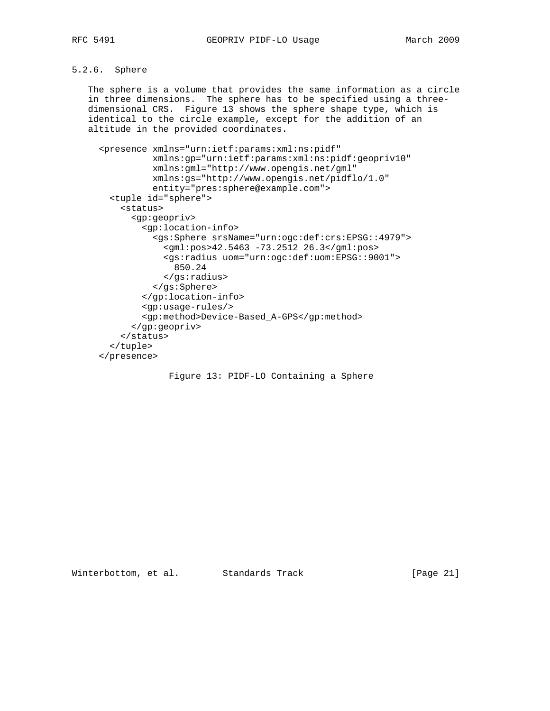# 5.2.6. Sphere

 The sphere is a volume that provides the same information as a circle in three dimensions. The sphere has to be specified using a three dimensional CRS. Figure 13 shows the sphere shape type, which is identical to the circle example, except for the addition of an altitude in the provided coordinates.

```
 <presence xmlns="urn:ietf:params:xml:ns:pidf"
           xmlns:gp="urn:ietf:params:xml:ns:pidf:geopriv10"
           xmlns:gml="http://www.opengis.net/gml"
           xmlns:gs="http://www.opengis.net/pidflo/1.0"
           entity="pres:sphere@example.com">
  <tuple id="sphere">
    <status>
      <gp:geopriv>
         <gp:location-info>
           <gs:Sphere srsName="urn:ogc:def:crs:EPSG::4979">
             <gml:pos>42.5463 -73.2512 26.3</gml:pos>
             <gs:radius uom="urn:ogc:def:uom:EPSG::9001">
               850.24
             </gs:radius>
           </gs:Sphere>
         </gp:location-info>
         <gp:usage-rules/>
         <gp:method>Device-Based_A-GPS</gp:method>
       </gp:geopriv>
    </status>
  </tuple>
 </presence>
```
#### Figure 13: PIDF-LO Containing a Sphere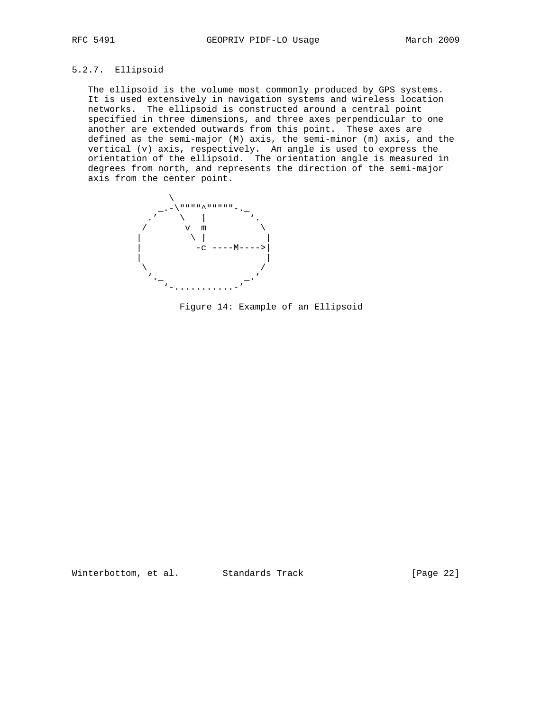## 5.2.7. Ellipsoid

 The ellipsoid is the volume most commonly produced by GPS systems. It is used extensively in navigation systems and wireless location networks. The ellipsoid is constructed around a central point specified in three dimensions, and three axes perpendicular to one another are extended outwards from this point. These axes are defined as the semi-major (M) axis, the semi-minor (m) axis, and the vertical (v) axis, respectively. An angle is used to express the orientation of the ellipsoid. The orientation angle is measured in degrees from north, and represents the direction of the semi-major axis from the center point.



Figure 14: Example of an Ellipsoid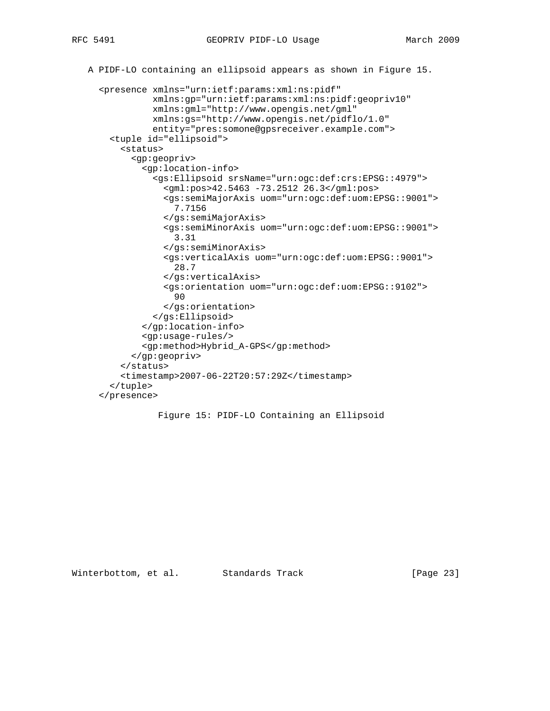```
 A PIDF-LO containing an ellipsoid appears as shown in Figure 15.
      <presence xmlns="urn:ietf:params:xml:ns:pidf"
                xmlns:gp="urn:ietf:params:xml:ns:pidf:geopriv10"
                xmlns:gml="http://www.opengis.net/gml"
                xmlns:gs="http://www.opengis.net/pidflo/1.0"
                entity="pres:somone@gpsreceiver.example.com">
        <tuple id="ellipsoid">
          <status>
            <gp:geopriv>
              <gp:location-info>
                <gs:Ellipsoid srsName="urn:ogc:def:crs:EPSG::4979">
                  <gml:pos>42.5463 -73.2512 26.3</gml:pos>
                  <gs:semiMajorAxis uom="urn:ogc:def:uom:EPSG::9001">
                    7.7156
                  </gs:semiMajorAxis>
                  <gs:semiMinorAxis uom="urn:ogc:def:uom:EPSG::9001">
                    3.31
                  </gs:semiMinorAxis>
                  <gs:verticalAxis uom="urn:ogc:def:uom:EPSG::9001">
                    28.7
                  </gs:verticalAxis>
                  <gs:orientation uom="urn:ogc:def:uom:EPSG::9102">
<u>90</u>
                  </gs:orientation>
                </gs:Ellipsoid>
              </gp:location-info>
              <gp:usage-rules/>
              <gp:method>Hybrid_A-GPS</gp:method>
            </gp:geopriv>
          </status>
          <timestamp>2007-06-22T20:57:29Z</timestamp>
        </tuple>
      </presence>
```

```
 Figure 15: PIDF-LO Containing an Ellipsoid
```
Winterbottom, et al. Standards Track [Page 23]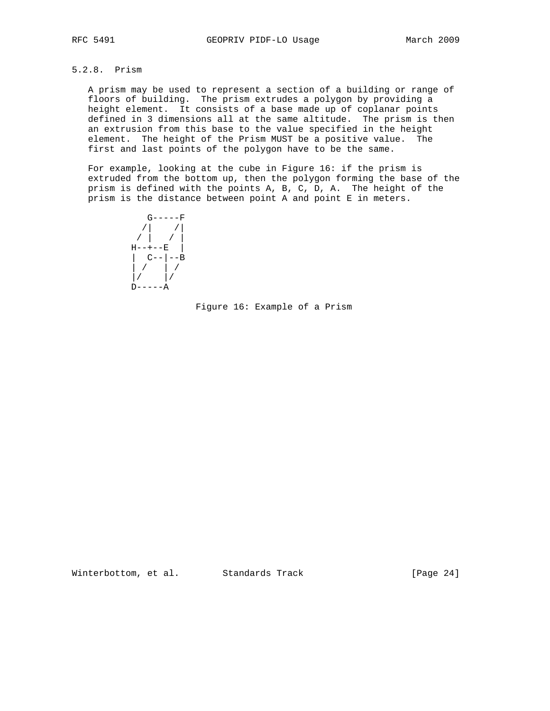# 5.2.8. Prism

 A prism may be used to represent a section of a building or range of floors of building. The prism extrudes a polygon by providing a height element. It consists of a base made up of coplanar points defined in 3 dimensions all at the same altitude. The prism is then an extrusion from this base to the value specified in the height element. The height of the Prism MUST be a positive value. The first and last points of the polygon have to be the same.

 For example, looking at the cube in Figure 16: if the prism is extruded from the bottom up, then the polygon forming the base of the prism is defined with the points A, B, C, D, A. The height of the prism is the distance between point A and point E in meters.

$$
\begin{array}{c|c|c} & G----F & & & \\ & / & & / & & \\ & / & & / & & \\ & H---+-E & & & \\ & & C---|--B & & \\ & & / & & / & \\ & / & & / & \\ & D----A & & & \\ \end{array}
$$

Figure 16: Example of a Prism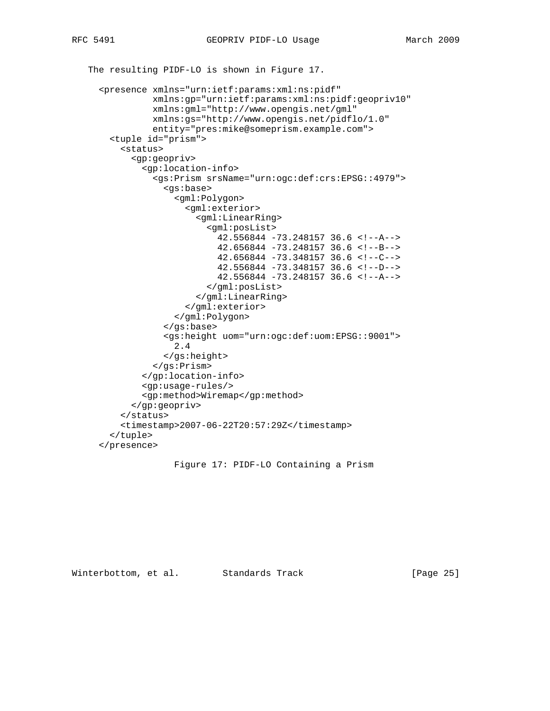```
 The resulting PIDF-LO is shown in Figure 17.
   <presence xmlns="urn:ietf:params:xml:ns:pidf"
             xmlns:gp="urn:ietf:params:xml:ns:pidf:geopriv10"
             xmlns:gml="http://www.opengis.net/gml"
             xmlns:gs="http://www.opengis.net/pidflo/1.0"
             entity="pres:mike@someprism.example.com">
     <tuple id="prism">
       <status>
         <gp:geopriv>
           <gp:location-info>
             <gs:Prism srsName="urn:ogc:def:crs:EPSG::4979">
               <gs:base>
                  <gml:Polygon>
                    <gml:exterior>
                      <gml:LinearRing>
                        <gml:posList>
                          42.556844 -73.248157 36.6 <!--A-->
                          42.656844 -73.248157 36.6 <!--B-->
                          42.656844 -73.348157 36.6 <!--C-->
                          42.556844 -73.348157 36.6 <!--D-->
                         42.556844 -73.248157 36.6 < \leftarrow</math> </gml:posList>
                      </gml:LinearRing>
                    </gml:exterior>
                  </gml:Polygon>
                </gs:base>
                <gs:height uom="urn:ogc:def:uom:EPSG::9001">
                  2.4
                </gs:height>
             </gs:Prism>
           </gp:location-info>
           <gp:usage-rules/>
           <gp:method>Wiremap</gp:method>
         </gp:geopriv>
       </status>
       <timestamp>2007-06-22T20:57:29Z</timestamp>
     </tuple>
   </presence>
```
Figure 17: PIDF-LO Containing a Prism

```
Winterbottom, et al. Standards Track [Page 25]
```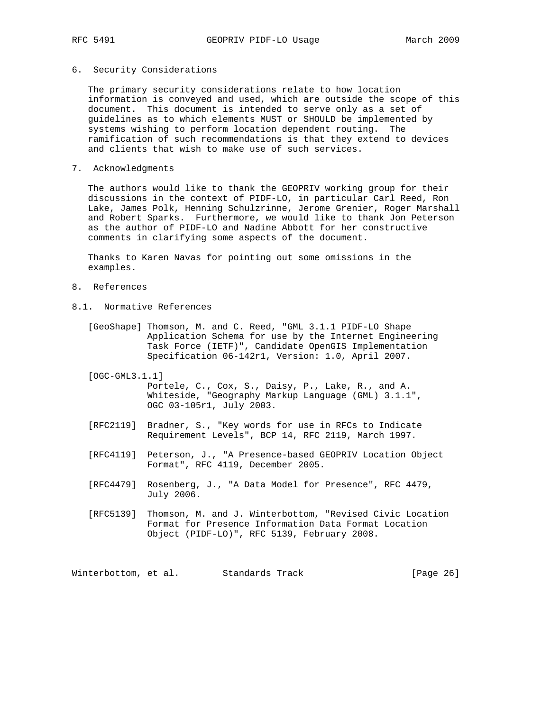# 6. Security Considerations

 The primary security considerations relate to how location information is conveyed and used, which are outside the scope of this document. This document is intended to serve only as a set of guidelines as to which elements MUST or SHOULD be implemented by systems wishing to perform location dependent routing. The ramification of such recommendations is that they extend to devices and clients that wish to make use of such services.

#### 7. Acknowledgments

 The authors would like to thank the GEOPRIV working group for their discussions in the context of PIDF-LO, in particular Carl Reed, Ron Lake, James Polk, Henning Schulzrinne, Jerome Grenier, Roger Marshall and Robert Sparks. Furthermore, we would like to thank Jon Peterson as the author of PIDF-LO and Nadine Abbott for her constructive comments in clarifying some aspects of the document.

 Thanks to Karen Navas for pointing out some omissions in the examples.

- 8. References
- 8.1. Normative References
	- [GeoShape] Thomson, M. and C. Reed, "GML 3.1.1 PIDF-LO Shape Application Schema for use by the Internet Engineering Task Force (IETF)", Candidate OpenGIS Implementation Specification 06-142r1, Version: 1.0, April 2007.
	- [OGC-GML3.1.1]

 Portele, C., Cox, S., Daisy, P., Lake, R., and A. Whiteside, "Geography Markup Language (GML) 3.1.1", OGC 03-105r1, July 2003.

- [RFC2119] Bradner, S., "Key words for use in RFCs to Indicate Requirement Levels", BCP 14, RFC 2119, March 1997.
- [RFC4119] Peterson, J., "A Presence-based GEOPRIV Location Object Format", RFC 4119, December 2005.
- [RFC4479] Rosenberg, J., "A Data Model for Presence", RFC 4479, July 2006.
- [RFC5139] Thomson, M. and J. Winterbottom, "Revised Civic Location Format for Presence Information Data Format Location Object (PIDF-LO)", RFC 5139, February 2008.

Winterbottom, et al. Standards Track [Page 26]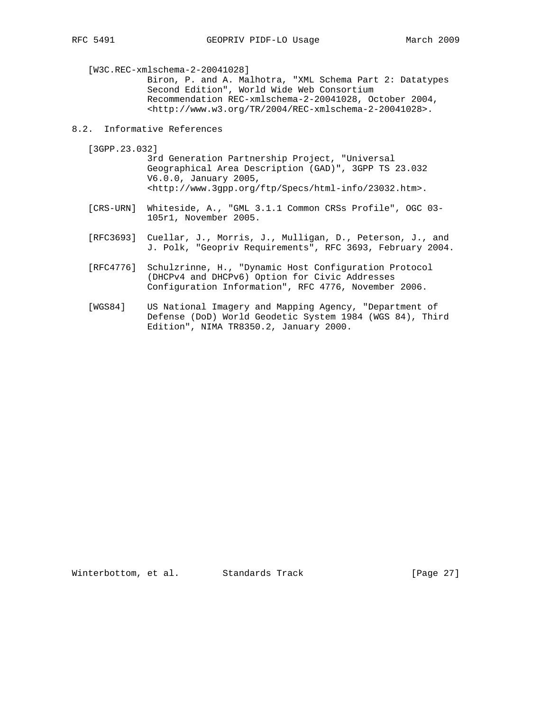[W3C.REC-xmlschema-2-20041028]

 Biron, P. and A. Malhotra, "XML Schema Part 2: Datatypes Second Edition", World Wide Web Consortium Recommendation REC-xmlschema-2-20041028, October 2004, <http://www.w3.org/TR/2004/REC-xmlschema-2-20041028>.

# 8.2. Informative References

[3GPP.23.032]

 3rd Generation Partnership Project, "Universal Geographical Area Description (GAD)", 3GPP TS 23.032 V6.0.0, January 2005, <http://www.3gpp.org/ftp/Specs/html-info/23032.htm>.

- [CRS-URN] Whiteside, A., "GML 3.1.1 Common CRSs Profile", OGC 03- 105r1, November 2005.
- [RFC3693] Cuellar, J., Morris, J., Mulligan, D., Peterson, J., and J. Polk, "Geopriv Requirements", RFC 3693, February 2004.
- [RFC4776] Schulzrinne, H., "Dynamic Host Configuration Protocol (DHCPv4 and DHCPv6) Option for Civic Addresses Configuration Information", RFC 4776, November 2006.
- [WGS84] US National Imagery and Mapping Agency, "Department of Defense (DoD) World Geodetic System 1984 (WGS 84), Third Edition", NIMA TR8350.2, January 2000.